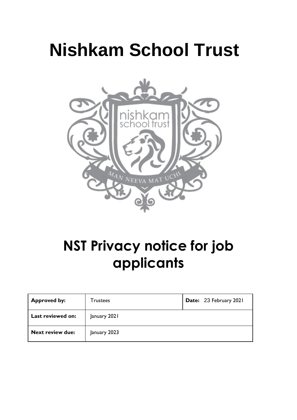# **Nishkam School Trust**



# **NST Privacy notice for job applicants**

| <b>Approved by:</b>     | Trustees     | Date: 23 February 2021 |
|-------------------------|--------------|------------------------|
| Last reviewed on:       | January 2021 |                        |
| <b>Next review due:</b> | January 2023 |                        |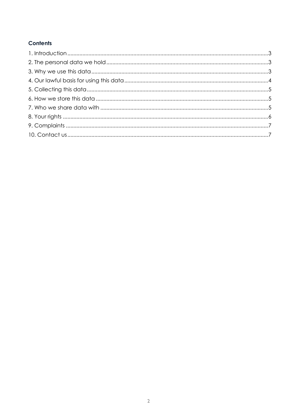# **Contents**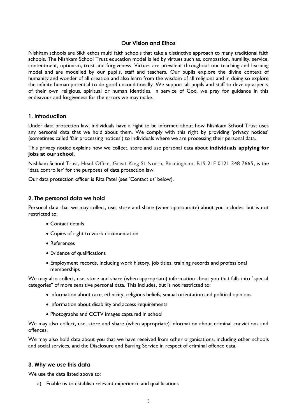# <span id="page-2-0"></span>**Our Vision and Ethos**

Nishkam schools are Sikh ethos multi faith schools that take a distinctive approach to many traditional faith schools. The Nishkam School Trust education model is led by virtues such as, compassion, humility, service, contentment, optimism, trust and forgiveness. Virtues are prevalent throughout our teaching and learning model and are modelled by our pupils, staff and teachers. Our pupils explore the divine context of humanity and wonder of all creation and also learn from the wisdom of all religions and in doing so explore the infinite human potential to do good unconditionally. We support all pupils and staff to develop aspects of their own religious, spiritual or human identities. In service of God, we pray for guidance in this endeavour and forgiveness for the errors we may make.

# **1. Introduction**

Under data protection law, individuals have a right to be informed about how Nishkam School Trust uses any personal data that we hold about them. We comply with this right by providing 'privacy notices' (sometimes called 'fair processing notices') to individuals where we are processing their personal data.

This privacy notice explains how we collect, store and use personal data about **individuals applying for jobs at our school**.

Nishkam School Trust, Head Office, Great King St North, Birmingham, B19 2LF 0121 348 7665, is the 'data controller' for the purposes of data protection law.

Our data protection officer is Rita Patel (see 'Contact us' below).

#### <span id="page-2-1"></span>**2. The personal data we hold**

Personal data that we may collect, use, store and share (when appropriate) about you includes, but is not restricted to:

- Contact details
- Copies of right to work documentation
- References
- Evidence of qualifications
- Employment records, including work history, job titles, training records and professional memberships

We may also collect, use, store and share (when appropriate) information about you that falls into "special categories" of more sensitive personal data. This includes, but is not restricted to:

- Information about race, ethnicity, religious beliefs, sexual orientation and political opinions
- Information about disability and access requirements
- Photographs and CCTV images captured in school

We may also collect, use, store and share (when appropriate) information about criminal convictions and offences.

We may also hold data about you that we have received from other organisations, including other schools and social services, and the Disclosure and Barring Service in respect of criminal offence data.

#### <span id="page-2-2"></span>**3. Why we use this data**

We use the data listed above to:

a) Enable us to establish relevant experience and qualifications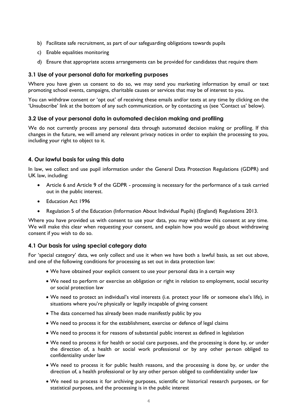- b) Facilitate safe recruitment, as part of our safeguarding obligations towards pupils
- c) Enable equalities monitoring
- d) Ensure that appropriate access arrangements can be provided for candidates that require them

### **3.1 Use of your personal data for marketing purposes**

Where you have given us consent to do so, we may send you marketing information by email or text promoting school events, campaigns, charitable causes or services that may be of interest to you.

You can withdraw consent or 'opt out' of receiving these emails and/or texts at any time by clicking on the 'Unsubscribe' link at the bottom of any such communication, or by contacting us (see 'Contact us' below).

#### **3.2 Use of your personal data in automated decision making and profiling**

We do not currently process any personal data through automated decision making or profiling. If this changes in the future, we will amend any relevant privacy notices in order to explain the processing to you, including your right to object to it.

# <span id="page-3-0"></span>**4. Our lawful basis for using this data**

In law, we collect and use pupil information under the General Data Protection Regulations (GDPR) and UK law, including:

- Article 6 and Article 9 of the GDPR processing is necessary for the performance of a task carried out in the public interest.
- Education Act 1996
- Regulation 5 of the Education (Information About Individual Pupils) (England) Regulations 2013.

Where you have provided us with consent to use your data, you may withdraw this consent at any time. We will make this clear when requesting your consent, and explain how you would go about withdrawing consent if you wish to do so.

#### **4.1 Our basis for using special category data**

For 'special category' data, we only collect and use it when we have both a lawful basis, as set out above, and one of the following conditions for processing as set out in data protection law:

- We have obtained your explicit consent to use your personal data in a certain way
- We need to perform or exercise an obligation or right in relation to employment, social security or social protection law
- We need to protect an individual's vital interests (i.e. protect your life or someone else's life), in situations where you're physically or legally incapable of giving consent
- The data concerned has already been made manifestly public by you
- We need to process it for the establishment, exercise or defence of legal claims
- We need to process it for reasons of substantial public interest as defined in legislation
- We need to process it for health or social care purposes, and the processing is done by, or under the direction of, a health or social work professional or by any other person obliged to confidentiality under law
- We need to process it for public health reasons, and the processing is done by, or under the direction of, a health professional or by any other person obliged to confidentiality under law
- We need to process it for archiving purposes, scientific or historical research purposes, or for statistical purposes, and the processing is in the public interest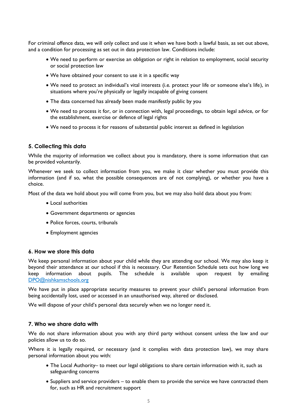For criminal offence data, we will only collect and use it when we have both a lawful basis, as set out above, and a condition for processing as set out in data protection law. Conditions include:

- We need to perform or exercise an obligation or right in relation to employment, social security or social protection law
- We have obtained your consent to use it in a specific way
- We need to protect an individual's vital interests (i.e. protect your life or someone else's life), in situations where you're physically or legally incapable of giving consent
- The data concerned has already been made manifestly public by you
- We need to process it for, or in connection with, legal proceedings, to obtain legal advice, or for the establishment, exercise or defence of legal rights
- We need to process it for reasons of substantial public interest as defined in legislation

#### <span id="page-4-0"></span>**5. Collecting this data**

While the majority of information we collect about you is mandatory, there is some information that can be provided voluntarily.

Whenever we seek to collect information from you, we make it clear whether you must provide this information (and if so, what the possible consequences are of not complying), or whether you have a choice.

Most of the data we hold about you will come from you, but we may also hold data about you from:

- Local authorities
- Government departments or agencies
- Police forces, courts, tribunals
- Employment agencies

#### <span id="page-4-1"></span>**6. How we store this data**

We keep personal information about your child while they are attending our school. We may also keep it beyond their attendance at our school if this is necessary. Our Retention Schedule sets out how long we keep information about pupils. The schedule is available upon request by emailing [DPO@nishkamschools.org](mailto:DPO@nishkamschools.org)

We have put in place appropriate security measures to prevent your child's personal information from being accidentally lost, used or accessed in an unauthorised way, altered or disclosed.

We will dispose of your child's personal data securely when we no longer need it.

#### <span id="page-4-2"></span>**7. Who we share data with**

We do not share information about you with any third party without consent unless the law and our policies allow us to do so.

Where it is legally required, or necessary (and it complies with data protection law), we may share personal information about you with:

- The Local Authority– to meet our legal obligations to share certain information with it, such as safeguarding concerns
- Suppliers and service providers to enable them to provide the service we have contracted them for, such as HR and recruitment support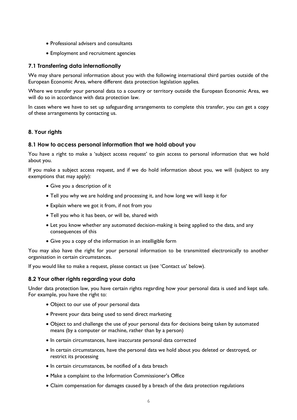- Professional advisers and consultants
- Employment and recruitment agencies

# **7.1 Transferring data internationally**

We may share personal information about you with the following international third parties outside of the European Economic Area, where different data protection legislation applies.

Where we transfer your personal data to a country or territory outside the European Economic Area, we will do so in accordance with data protection law.

In cases where we have to set up safeguarding arrangements to complete this transfer, you can get a copy of these arrangements by contacting us.

# <span id="page-5-0"></span>**8. Your rights**

# **8.1 How to access personal information that we hold about you**

You have a right to make a 'subject access request' to gain access to personal information that we hold about you.

If you make a subject access request, and if we do hold information about you, we will (subject to any exemptions that may apply):

- Give you a description of it
- Tell you why we are holding and processing it, and how long we will keep it for
- Explain where we got it from, if not from you
- Tell you who it has been, or will be, shared with
- Let you know whether any automated decision-making is being applied to the data, and any consequences of this
- Give you a copy of the information in an intelligible form

You may also have the right for your personal information to be transmitted electronically to another organisation in certain circumstances.

If you would like to make a request, please contact us (see 'Contact us' below).

# **8.2 Your other rights regarding your data**

Under data protection law, you have certain rights regarding how your personal data is used and kept safe. For example, you have the right to:

- Object to our use of your personal data
- Prevent your data being used to send direct marketing
- Object to and challenge the use of your personal data for decisions being taken by automated means (by a computer or machine, rather than by a person)
- In certain circumstances, have inaccurate personal data corrected
- In certain circumstances, have the personal data we hold about you deleted or destroyed, or restrict its processing
- In certain circumstances, be notified of a data breach
- Make a complaint to the Information Commissioner's Office
- Claim compensation for damages caused by a breach of the data protection regulations